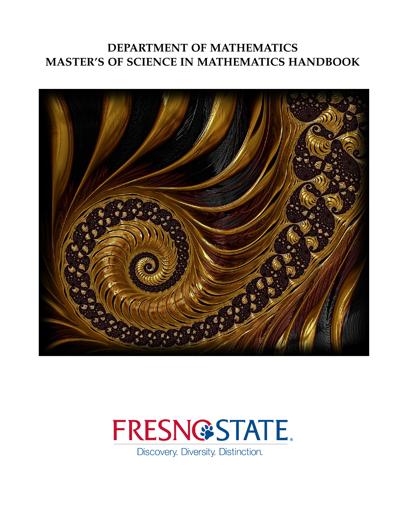# **DEPARTMENT OF MATHEMATICS MASTER'S OF SCIENCE IN MATHEMATICS HANDBOOK**





Discovery. Diversity. Distinction.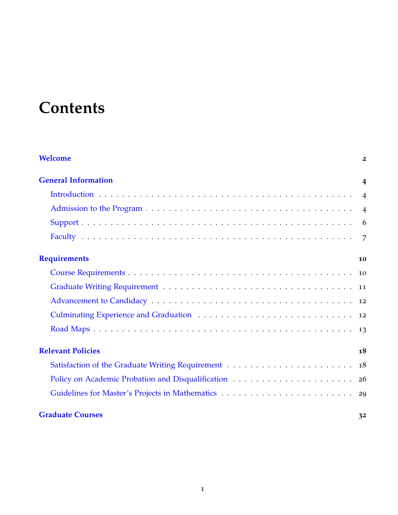# **Contents**

| Welcome                    | $\overline{2}$ |
|----------------------------|----------------|
| <b>General Information</b> | $\overline{4}$ |
|                            |                |
|                            |                |
|                            |                |
|                            |                |
| <b>Requirements</b>        | 10             |
|                            |                |
|                            |                |
|                            |                |
| <b>12</b>                  |                |
|                            |                |
| <b>Relevant Policies</b>   | 18             |
|                            |                |
|                            |                |
|                            |                |
| <b>Graduate Courses</b>    | 32             |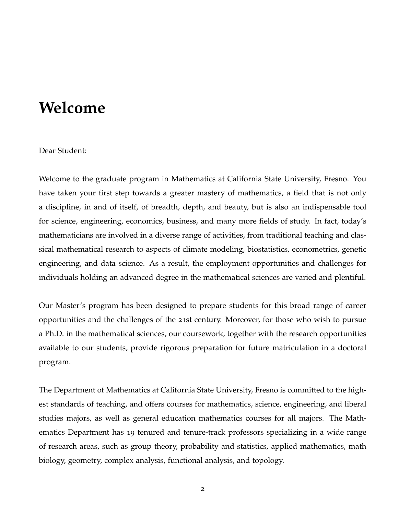# <span id="page-2-0"></span>**Welcome**

### Dear Student:

Welcome to the graduate program in Mathematics at California State University, Fresno. You have taken your first step towards a greater mastery of mathematics, a field that is not only a discipline, in and of itself, of breadth, depth, and beauty, but is also an indispensable tool for science, engineering, economics, business, and many more fields of study. In fact, today's mathematicians are involved in a diverse range of activities, from traditional teaching and classical mathematical research to aspects of climate modeling, biostatistics, econometrics, genetic engineering, and data science. As a result, the employment opportunities and challenges for individuals holding an advanced degree in the mathematical sciences are varied and plentiful.

Our Master's program has been designed to prepare students for this broad range of career opportunities and the challenges of the 21st century. Moreover, for those who wish to pursue a Ph.D. in the mathematical sciences, our coursework, together with the research opportunities available to our students, provide rigorous preparation for future matriculation in a doctoral program.

The Department of Mathematics at California State University, Fresno is committed to the highest standards of teaching, and offers courses for mathematics, science, engineering, and liberal studies majors, as well as general education mathematics courses for all majors. The Mathematics Department has 19 tenured and tenure-track professors specializing in a wide range of research areas, such as group theory, probability and statistics, applied mathematics, math biology, geometry, complex analysis, functional analysis, and topology.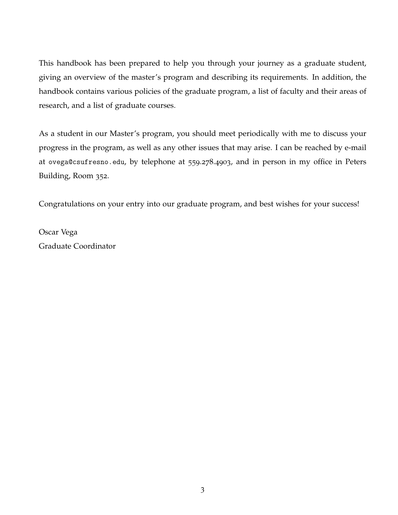This handbook has been prepared to help you through your journey as a graduate student, giving an overview of the master's program and describing its requirements. In addition, the handbook contains various policies of the graduate program, a list of faculty and their areas of research, and a list of graduate courses.

As a student in our Master's program, you should meet periodically with me to discuss your progress in the program, as well as any other issues that may arise. I can be reached by e-mail at ovega@csufresno.edu, by telephone at 559.278.4903, and in person in my office in Peters Building, Room 352.

Congratulations on your entry into our graduate program, and best wishes for your success!

Oscar Vega Graduate Coordinator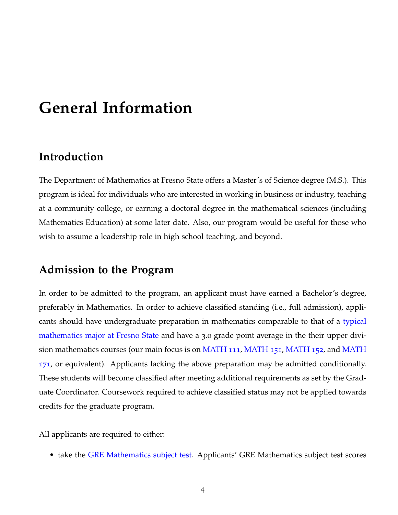# <span id="page-4-0"></span>**General Information**

# <span id="page-4-1"></span>**Introduction**

The Department of Mathematics at Fresno State offers a Master's of Science degree (M.S.). This program is ideal for individuals who are interested in working in business or industry, teaching at a community college, or earning a doctoral degree in the mathematical sciences (including Mathematics Education) at some later date. Also, our program would be useful for those who wish to assume a leadership role in high school teaching, and beyond.

## <span id="page-4-2"></span>**Admission to the Program**

In order to be admitted to the program, an applicant must have earned a Bachelor's degree, preferably in Mathematics. In order to achieve classified standing (i.e., full admission), applicants should have undergraduate preparation in mathematics comparable to that of a typical mathematics major at Fresno State and have a 3.0 grade point average in the their upper division mathematics courses (our main focus is on MATH 111, MATH 151, MATH 152, and MATH 171, or equivalent). Applicants lacking the above preparation may be admitted conditionally. These students will become classified after meeting additional requirements as set by the Graduate Coordinator. Coursework required to achieve classified status may not be applied towards credits for the graduate program.

All applicants are required to either:

• take the GRE Mathematics subject test. Applicants' GRE Mathematics subject test scores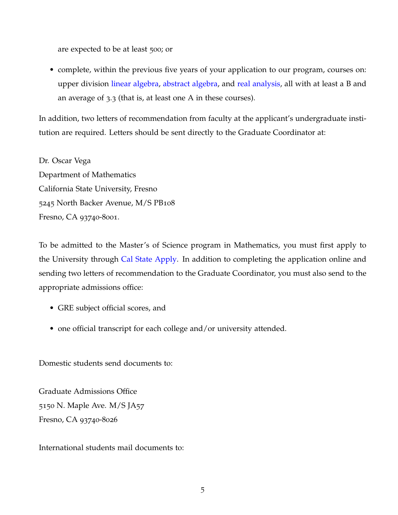are expected to be at least 500; or

• complete, within the previous five years of your application to our program, courses on: upper division linear algebra, abstract algebra, and real analysis, all with at least a B and an average of 3.3 (that is, at least one A in these courses).

In addition, two letters of recommendation from faculty at the applicant's undergraduate institution are required. Letters should be sent directly to the Graduate Coordinator at:

Dr. Oscar Vega Department of Mathematics California State University, Fresno 5245 North Backer Avenue, M/S PB108 Fresno, CA 93740-8001.

To be admitted to the Master's of Science program in Mathematics, you must first apply to the University through Cal State Apply. In addition to completing the application online and sending two letters of recommendation to the Graduate Coordinator, you must also send to the appropriate admissions office:

- GRE subject official scores, and
- one official transcript for each college and/or university attended.

Domestic students send documents to:

Graduate Admissions Office 5150 N. Maple Ave. M/S JA57 Fresno, CA 93740-8026

International students mail documents to: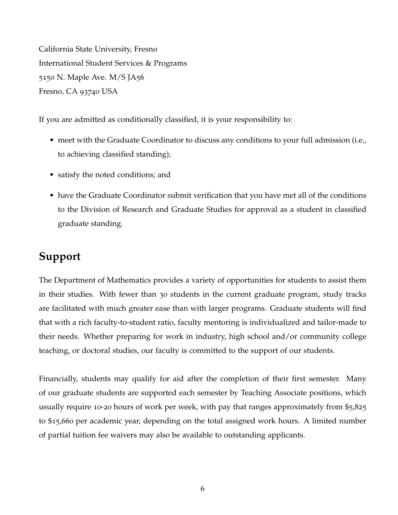California State University, Fresno International Student Services & Programs 5150 N. Maple Ave. M/S JA56 Fresno, CA 93740 USA

If you are admitted as conditionally classified, it is your responsibility to:

- meet with the Graduate Coordinator to discuss any conditions to your full admission (i.e., to achieving classified standing);
- satisfy the noted conditions; and
- have the Graduate Coordinator submit verification that you have met all of the conditions to the Division of Research and Graduate Studies for approval as a student in classified graduate standing.

# <span id="page-6-0"></span>**Support**

The Department of Mathematics provides a variety of opportunities for students to assist them in their studies. With fewer than 30 students in the current graduate program, study tracks are facilitated with much greater ease than with larger programs. Graduate students will find that with a rich faculty-to-student ratio, faculty mentoring is individualized and tailor-made to their needs. Whether preparing for work in industry, high school and/or community college teaching, or doctoral studies, our faculty is committed to the support of our students.

Financially, students may qualify for aid after the completion of their first semester. Many of our graduate students are supported each semester by Teaching Associate positions, which usually require 10-20 hours of work per week, with pay that ranges approximately from \$5,825 to \$15,660 per academic year, depending on the total assigned work hours. A limited number of partial tuition fee waivers may also be available to outstanding applicants.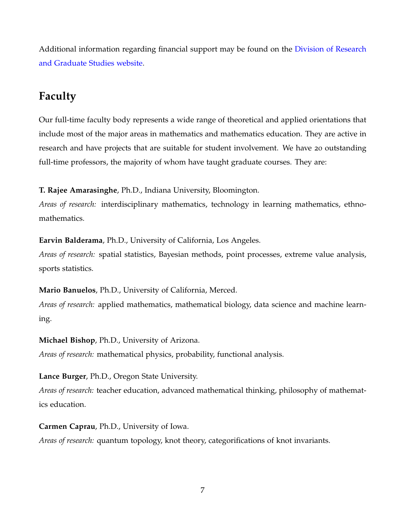Additional information regarding financial support may be found on the Division of Research and Graduate Studies website.

# <span id="page-7-0"></span>**Faculty**

Our full-time faculty body represents a wide range of theoretical and applied orientations that include most of the major areas in mathematics and mathematics education. They are active in research and have projects that are suitable for student involvement. We have 20 outstanding full-time professors, the majority of whom have taught graduate courses. They are:

**T. Rajee Amarasinghe**, Ph.D., Indiana University, Bloomington.

*Areas of research:* interdisciplinary mathematics, technology in learning mathematics, ethnomathematics.

**Earvin Balderama**, Ph.D., University of California, Los Angeles.

*Areas of research:* spatial statistics, Bayesian methods, point processes, extreme value analysis, sports statistics.

**Mario Banuelos**, Ph.D., University of California, Merced.

*Areas of research:* applied mathematics, mathematical biology, data science and machine learning.

**Michael Bishop**, Ph.D., University of Arizona. *Areas of research:* mathematical physics, probability, functional analysis.

**Lance Burger**, Ph.D., Oregon State University.

*Areas of research:* teacher education, advanced mathematical thinking, philosophy of mathematics education.

**Carmen Caprau**, Ph.D., University of Iowa. *Areas of research:* quantum topology, knot theory, categorifications of knot invariants.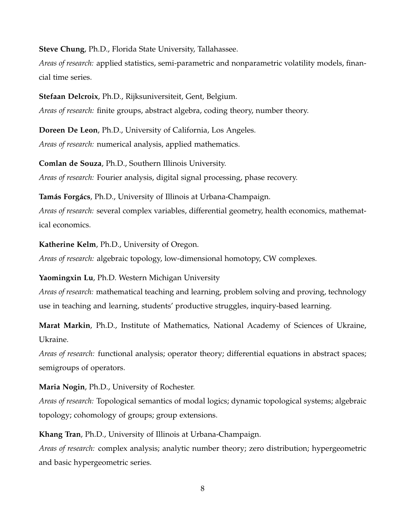**Steve Chung**, Ph.D., Florida State University, Tallahassee.

*Areas of research:* applied statistics, semi-parametric and nonparametric volatility models, financial time series.

**Stefaan Delcroix**, Ph.D., Rijksuniversiteit, Gent, Belgium.

*Areas of research:* finite groups, abstract algebra, coding theory, number theory.

**Doreen De Leon**, Ph.D., University of California, Los Angeles. *Areas of research:* numerical analysis, applied mathematics.

**Comlan de Souza**, Ph.D., Southern Illinois University. *Areas of research:* Fourier analysis, digital signal processing, phase recovery.

**Tamás Forgács**, Ph.D., University of Illinois at Urbana-Champaign.

*Areas of research:* several complex variables, differential geometry, health economics, mathematical economics.

**Katherine Kelm**, Ph.D., University of Oregon.

*Areas of research:* algebraic topology, low-dimensional homotopy, CW complexes.

**Yaomingxin Lu**, Ph.D. Western Michigan University

*Areas of research:* mathematical teaching and learning, problem solving and proving, technology use in teaching and learning, students' productive struggles, inquiry-based learning.

**Marat Markin**, Ph.D., Institute of Mathematics, National Academy of Sciences of Ukraine, Ukraine.

*Areas of research:* functional analysis; operator theory; differential equations in abstract spaces; semigroups of operators.

**Maria Nogin**, Ph.D., University of Rochester.

*Areas of research:* Topological semantics of modal logics; dynamic topological systems; algebraic topology; cohomology of groups; group extensions.

**Khang Tran**, Ph.D., University of Illinois at Urbana-Champaign.

*Areas of research:* complex analysis; analytic number theory; zero distribution; hypergeometric and basic hypergeometric series.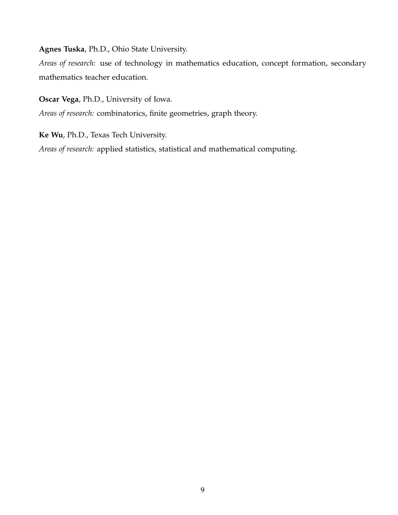**Agnes Tuska**, Ph.D., Ohio State University.

*Areas of research:* use of technology in mathematics education, concept formation, secondary mathematics teacher education.

**Oscar Vega**, Ph.D., University of Iowa.

*Areas of research:* combinatorics, finite geometries, graph theory.

**Ke Wu**, Ph.D., Texas Tech University.

*Areas of research:* applied statistics, statistical and mathematical computing.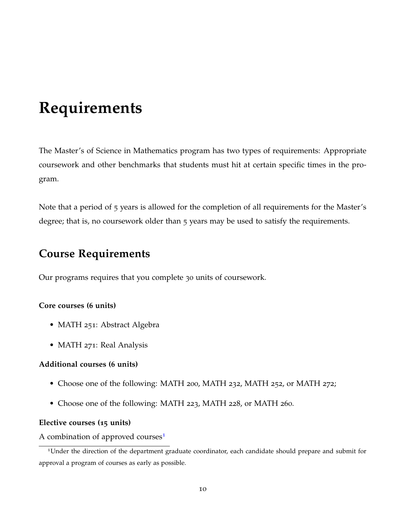# <span id="page-10-0"></span>**Requirements**

The Master's of Science in Mathematics program has two types of requirements: Appropriate coursework and other benchmarks that students must hit at certain specific times in the program.

Note that a period of 5 years is allowed for the completion of all requirements for the Master's degree; that is, no coursework older than 5 years may be used to satisfy the requirements.

# <span id="page-10-1"></span>**Course Requirements**

Our programs requires that you complete 30 units of coursework.

### **Core courses (6 units)**

- MATH 251: Abstract Algebra
- MATH 271: Real Analysis

### **Additional courses (6 units)**

- Choose one of the following: MATH 200, MATH 232, MATH 252, or MATH 272;
- Choose one of the following: MATH 223, MATH 228, or MATH 260.

### **Elective courses (15 units)**

A combination of approved courses<sup>[1](#page-10-2)</sup>

<span id="page-10-2"></span><sup>1</sup>Under the direction of the department graduate coordinator, each candidate should prepare and submit for approval a program of courses as early as possible.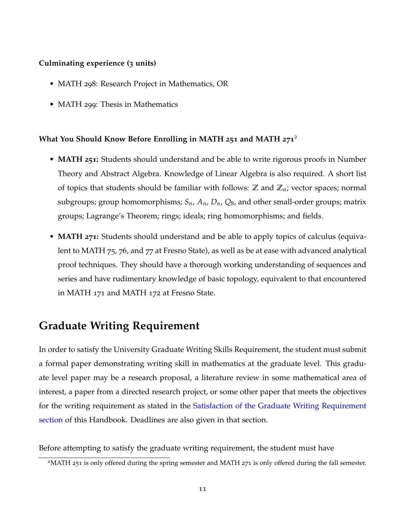### **Culminating experience (3 units)**

- MATH 298: Research Project in Mathematics, OR
- MATH 299: Thesis in Mathematics

### **What You Should Know Before Enrolling in MATH 251 and MATH 271**[2](#page-11-1)

- **MATH 251:** Students should understand and be able to write rigorous proofs in Number Theory and Abstract Algebra. Knowledge of Linear Algebra is also required. A short list of topics that students should be familiar with follows: **Z** and **Z***n*; vector spaces; normal subgroups; group homomorphisms; *Sn*, *An*, *Dn*, *Q*8, and other small-order groups; matrix groups; Lagrange's Theorem; rings; ideals; ring homomorphisms; and fields.
- **MATH 271:** Students should understand and be able to apply topics of calculus (equivalent to MATH 75, 76, and 77 at Fresno State), as well as be at ease with advanced analytical proof techniques. They should have a thorough working understanding of sequences and series and have rudimentary knowledge of basic topology, equivalent to that encountered in MATH 171 and MATH 172 at Fresno State.

# <span id="page-11-0"></span>**Graduate Writing Requirement**

In order to satisfy the University Graduate Writing Skills Requirement, the student must submit a formal paper demonstrating writing skill in mathematics at the graduate level. This graduate level paper may be a research proposal, a literature review in some mathematical area of interest, a paper from a directed research project, or some other paper that meets the objectives for the writing requirement as stated in the [Satisfaction of the Graduate Writing Requirement](#page-18-1) [section](#page-18-1) of this Handbook. Deadlines are also given in that section.

Before attempting to satisfy the graduate writing requirement, the student must have

<span id="page-11-1"></span><sup>&</sup>lt;sup>2</sup>MATH 251 is only offered during the spring semester and MATH 271 is only offered during the fall semester.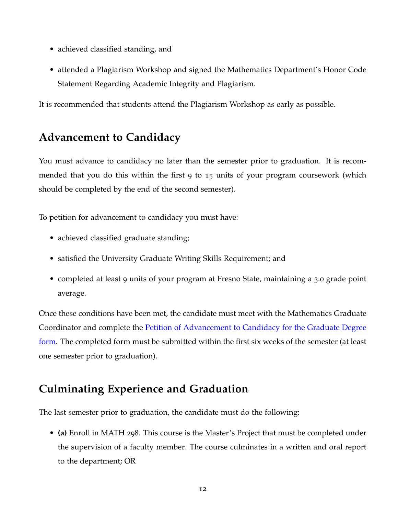- achieved classified standing, and
- attended a Plagiarism Workshop and signed the Mathematics Department's Honor Code Statement Regarding Academic Integrity and Plagiarism.

It is recommended that students attend the Plagiarism Workshop as early as possible.

# <span id="page-12-0"></span>**Advancement to Candidacy**

You must advance to candidacy no later than the semester prior to graduation. It is recommended that you do this within the first 9 to 15 units of your program coursework (which should be completed by the end of the second semester).

To petition for advancement to candidacy you must have:

- achieved classified graduate standing;
- satisfied the University Graduate Writing Skills Requirement; and
- completed at least 9 units of your program at Fresno State, maintaining a 3.0 grade point average.

Once these conditions have been met, the candidate must meet with the Mathematics Graduate Coordinator and complete the Petition of Advancement to Candidacy for the Graduate Degree form. The completed form must be submitted within the first six weeks of the semester (at least one semester prior to graduation).

# <span id="page-12-1"></span>**Culminating Experience and Graduation**

The last semester prior to graduation, the candidate must do the following:

• **(a)** Enroll in MATH 298. This course is the Master's Project that must be completed under the supervision of a faculty member. The course culminates in a written and oral report to the department; OR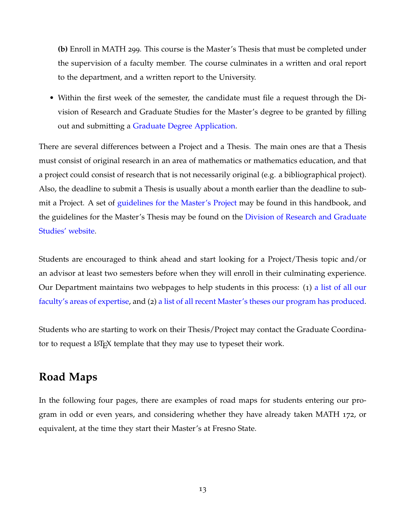**(b)** Enroll in MATH 299. This course is the Master's Thesis that must be completed under the supervision of a faculty member. The course culminates in a written and oral report to the department, and a written report to the University.

• Within the first week of the semester, the candidate must file a request through the Division of Research and Graduate Studies for the Master's degree to be granted by filling out and submitting a Graduate Degree Application.

There are several differences between a Project and a Thesis. The main ones are that a Thesis must consist of original research in an area of mathematics or mathematics education, and that a project could consist of research that is not necessarily original (e.g. a bibliographical project). Also, the deadline to submit a Thesis is usually about a month earlier than the deadline to submit a Project. A set of [guidelines for the Master's Project](#page-29-0) may be found in this handbook, and the guidelines for the Master's Thesis may be found on the Division of Research and Graduate Studies' website.

Students are encouraged to think ahead and start looking for a Project/Thesis topic and/or an advisor at least two semesters before when they will enroll in their culminating experience. Our Department maintains two webpages to help students in this process: (1) a list of all our faculty's areas of expertise, and (2) a list of all recent Master's theses our program has produced.

Students who are starting to work on their Thesis/Project may contact the Graduate Coordinator to request a LAT<sub>EX</sub> template that they may use to typeset their work.

# <span id="page-13-0"></span>**Road Maps**

In the following four pages, there are examples of road maps for students entering our program in odd or even years, and considering whether they have already taken MATH 172, or equivalent, at the time they start their Master's at Fresno State.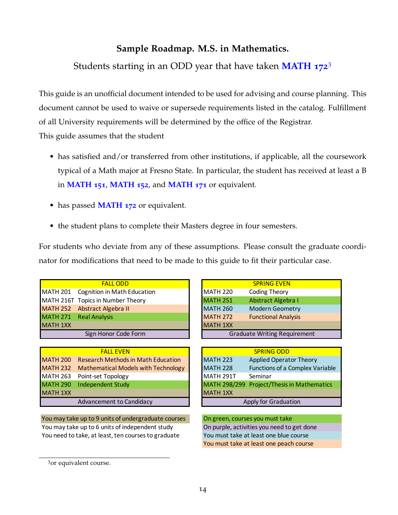Students starting in an ODD year that have taken **MATH 172**[3](#page-14-0)

This guide is an unofficial document intended to be used for advising and course planning. This document cannot be used to waive or supersede requirements listed in the catalog. Fulfillment of all University requirements will be determined by the office of the Registrar. This guide assumes that the student

- has satisfied and/or transferred from other institutions, if applicable, all the coursework typical of a Math major at Fresno State. In particular, the student has received at least a B in **MATH 151**, **MATH 152**, and **MATH 171** or equivalent.
- has passed **MATH 172** or equivalent.
- the student plans to complete their Masters degree in four semesters.

For students who deviate from any of these assumptions. Please consult the graduate coordinator for modifications that need to be made to this guide to fit their particular case.

|  | <b>SPRING EVEN</b>                                                                          |
|--|---------------------------------------------------------------------------------------------|
|  | Coding Theory                                                                               |
|  | Abstract Algebra I                                                                          |
|  | <b>Modern Geometry</b>                                                                      |
|  | <b>Functional Analysis</b>                                                                  |
|  |                                                                                             |
|  | <b>Graduate Writing Require</b>                                                             |
|  | <b>MATH 220</b><br><b>MATH 251</b><br><b>MATH 260</b><br><b>MATH 272</b><br><b>MATH 1XX</b> |

|          | <b>FALL EVEN</b>                             |                 | <b>SPRING ODD</b>                          |
|----------|----------------------------------------------|-----------------|--------------------------------------------|
|          | MATH 200 Research Methods in Math Education  | <b>MATH 223</b> | <b>Applied Operator Theory</b>             |
|          | MATH 232 Mathematical Models with Technology | <b>MATH 228</b> | Functions of a Complex Variable            |
|          | MATH 263 Point-set Topology                  | MATH 291T       | Seminar                                    |
|          | MATH 290 Independent Study                   |                 | MATH 298/299 Project/Thesis in Mathematics |
| MATH 1XX |                                              | MATH 1XX        |                                            |
|          | Advancement to Candidacy                     |                 | Apply for Graduation                       |

You need to take, at least, ten courses to graduate You must take at least one blue course You may take up to 9 units of undergraduate courses On green, courses you must take You may take up to 6 units of independent study On purple, activities you need to get done

| <b>FALL ODD</b>           | <b>SPRING EVEN</b>                            |
|---------------------------|-----------------------------------------------|
| gnition in Math Education | <b>MATH 220</b><br><b>Coding Theory</b>       |
| pics in Number Theory     | <b>MATH 251</b><br>Abstract Algebra I         |
| stract Algebra II         | <b>MATH 260</b><br>Modern Geometry            |
| al Analysis               | <b>MATH 272</b><br><b>Functional Analysis</b> |
|                           | <b>MATH 1XX</b>                               |
| Sign Honor Code Form      | <b>Graduate Writing Requirement</b>           |

| <b>FALL EVEN</b>              |                      | <b>SPRING ODD</b>                          |  |  |  |
|-------------------------------|----------------------|--------------------------------------------|--|--|--|
| h Methods in Math Education   | <b>MATH 223</b>      | <b>Applied Operator Theory</b>             |  |  |  |
| atical Models with Technology | <b>MATH 228</b>      | Functions of a Complex Variable            |  |  |  |
| t Topology                    | MATH 291T            | Seminar                                    |  |  |  |
| dent Study                    |                      | MATH 298/299 Project/Thesis in Mathematics |  |  |  |
|                               | MATH 1XX             |                                            |  |  |  |
| ment to Candidacy             | Apply for Graduation |                                            |  |  |  |

You must take at least one peach course

<span id="page-14-0"></span><sup>3</sup>or equivalent course.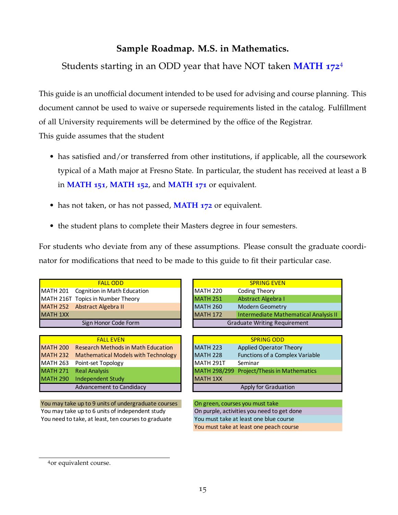Students starting in an ODD year that have NOT taken **MATH 172**[4](#page-15-0)

This guide is an unofficial document intended to be used for advising and course planning. This document cannot be used to waive or supersede requirements listed in the catalog. Fulfillment of all University requirements will be determined by the office of the Registrar. This guide assumes that the student

- has satisfied and/or transferred from other institutions, if applicable, all the coursework typical of a Math major at Fresno State. In particular, the student has received at least a B in **MATH 151**, **MATH 152**, and **MATH 171** or equivalent.
- has not taken, or has not passed, **MATH 172** or equivalent.
- the student plans to complete their Masters degree in four semesters.

For students who deviate from any of these assumptions. Please consult the graduate coordinator for modifications that need to be made to this guide to fit their particular case.

| <b>FALL ODD</b>                      | <b>SPRING EVEN</b>                          |
|--------------------------------------|---------------------------------------------|
| MATH 201 Cognition in Math Education | <b>MATH 220</b><br>Coding Theory            |
| MATH 216T Topics in Number Theory    | <b>MATH 251</b><br>Abstract Algebra I       |
| MATH 252 Abstract Algebra II         | <b>MATH 260</b><br><b>Modern Geometry</b>   |
| <b>MATH 1XX</b>                      | <b>MATH 172</b><br><b>Intermediate Math</b> |
| Sign Honor Code Form                 | <b>Graduate Writing Requ</b>                |

|                 | <b>FAIL FVFN</b>                             |                 | <b>SPRING ODD</b>                          |
|-----------------|----------------------------------------------|-----------------|--------------------------------------------|
|                 | MATH 200 Research Methods in Math Education  | <b>MATH 223</b> | <b>Applied Operator Theory</b>             |
|                 | MATH 232 Mathematical Models with Technology | <b>MATH 228</b> | <b>Functions of a Complex Variable</b>     |
|                 | MATH 263 Point-set Topology                  | MATH 291T       | Seminar                                    |
|                 | MATH 271 Real Analysis                       |                 | MATH 298/299 Project/Thesis in Mathematics |
| <b>MATH 290</b> | Independent Study                            | <b>MATH 1XX</b> |                                            |
|                 | Advancement to Candidacy                     |                 | Apply for Graduation                       |

You may take up to 9 units of undergraduate courses On green, courses you must take You may take up to 6 units of independent study On purple, activities you need to get done You need to take, at least, ten courses to graduate You must take at least one blue course

| <b>FALL ODD</b>                      |                                     | <b>SPRING EVEN</b>                           |  |
|--------------------------------------|-------------------------------------|----------------------------------------------|--|
| MATH 201 Cognition in Math Education | <b>MATH 220</b>                     | Coding Theory                                |  |
| MATH 216T Topics in Number Theory    | <b>MATH 251</b>                     | Abstract Algebra I                           |  |
| MATH 252 Abstract Algebra II         | <b>MATH 260</b>                     | <b>Modern Geometry</b>                       |  |
| <b>MATH 1XX</b>                      | <b>MATH 172</b>                     | <b>Intermediate Mathematical Analysis II</b> |  |
| Sign Honor Code Form                 | <b>Graduate Writing Requirement</b> |                                              |  |

| <b>FALL EVEN</b>              | <b>SPRING ODD</b>                                  |
|-------------------------------|----------------------------------------------------|
| h Methods in Math Education   | <b>MATH 223</b><br>Applied Operator Theory         |
| atical Models with Technology | <b>MATH 228</b><br>Functions of a Complex Variable |
| t Topology                    | MATH 291T<br>Seminar                               |
| ılvsis                        | MATH 298/299 Project/Thesis in Mathematics         |
| dent Study                    | <b>MATH 1XX</b>                                    |
| ment to Candidacy             | Apply for Graduation                               |

You must take at least one peach course

<span id="page-15-0"></span><sup>4</sup>or equivalent course.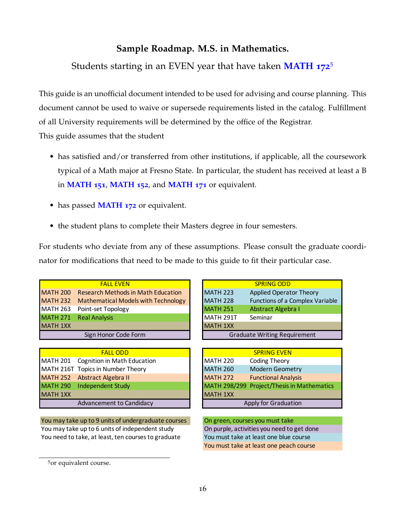Students starting in an EVEN year that have taken **MATH 172**[5](#page-16-0)

This guide is an unofficial document intended to be used for advising and course planning. This document cannot be used to waive or supersede requirements listed in the catalog. Fulfillment of all University requirements will be determined by the office of the Registrar. This guide assumes that the student

- has satisfied and/or transferred from other institutions, if applicable, all the coursework typical of a Math major at Fresno State. In particular, the student has received at least a B in **MATH 151**, **MATH 152**, and **MATH 171** or equivalent.
- has passed **MATH 172** or equivalent.
- the student plans to complete their Masters degree in four semesters.

For students who deviate from any of these assumptions. Please consult the graduate coordinator for modifications that need to be made to this guide to fit their particular case.

|                 | <b>FALL EVEN</b>                           |                  | <b>SPRING ODD</b>                      |
|-----------------|--------------------------------------------|------------------|----------------------------------------|
| <b>MATH 200</b> | <b>Research Methods in Math Education</b>  | <b>MATH 223</b>  | <b>Applied Operator Theory</b>         |
| <b>MATH 232</b> | <b>Mathematical Models with Technology</b> | <b>MATH 228</b>  | <b>Functions of a Complex Variable</b> |
| MATH 263        | Point-set Topology                         | <b>MATH 251</b>  | Abstract Algebra I                     |
| <b>MATH 271</b> | <b>Real Analysis</b>                       | <b>MATH 291T</b> | Seminar                                |
| <b>MATH 1XX</b> |                                            | <b>MATH 1XX</b>  |                                        |
|                 | Sign Honor Code Form                       |                  | <b>Graduate Writing Requirement</b>    |
|                 |                                            |                  |                                        |
|                 | <b>FALL ODD</b>                            |                  | <b>SPRING EVEN</b>                     |
| <b>MATH 201</b> | Cognition in Math Education                | <b>MATH 220</b>  | <b>Coding Theory</b>                   |
|                 | MATH 216T Topics in Number Theory          | <b>MATH 260</b>  | <b>Modern Geometry</b>                 |
| <b>MATH 252</b> | Abstract Algebra II                        | <b>MATH 272</b>  | <b>Functional Analysis</b>             |
| <b>MATH 290</b> | <b>Independent Study</b>                   | MATH 298/299     | <b>Project/Thesis in Mathematics</b>   |
| <b>MATH 1XX</b> |                                            | <b>MATH 1XX</b>  |                                        |
|                 | Advancement to Candidacy                   |                  | Apply for Graduation                   |

You may take up to 9 units of undergraduate courses You need to take, at least, ten courses to graduate You may take up to 6 units of independent study On purple, activities you need to get done

You must take at least one peach course On green, courses you must take You must take at least one blue course

<span id="page-16-0"></span><sup>5</sup>or equivalent course.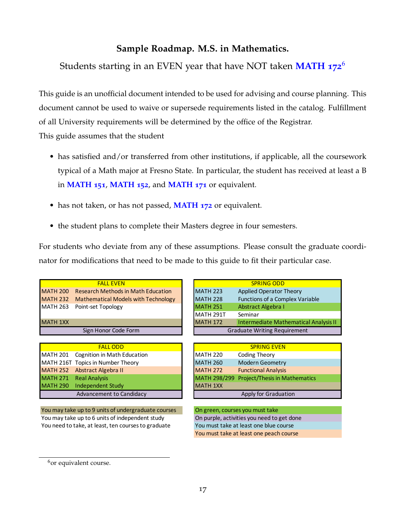Students starting in an EVEN year that have NOT taken **MATH 172**[6](#page-17-0)

This guide is an unofficial document intended to be used for advising and course planning. This document cannot be used to waive or supersede requirements listed in the catalog. Fulfillment of all University requirements will be determined by the office of the Registrar. This guide assumes that the student

- has satisfied and/or transferred from other institutions, if applicable, all the coursework typical of a Math major at Fresno State. In particular, the student has received at least a B in **MATH 151**, **MATH 152**, and **MATH 171** or equivalent.
- has not taken, or has not passed, **MATH 172** or equivalent.
- the student plans to complete their Masters degree in four semesters.

For students who deviate from any of these assumptions. Please consult the graduate coordinator for modifications that need to be made to this guide to fit their particular case.

| <b>FAIL FVFN</b>                             | <b>SPRING ODD</b>                                  |
|----------------------------------------------|----------------------------------------------------|
| MATH 200 Research Methods in Math Education  | Applied Operator Theory<br><b>MATH 223</b>         |
| MATH 232 Mathematical Models with Technology | <b>MATH 228</b><br>Functions of a Complex Variable |
| MATH 263 Point-set Topology                  | <b>MATH 251</b><br>Abstract Algebra I              |
|                                              | MATH 291T<br>Seminar                               |
| <b>MATH 1XX</b>                              | Intermediate Mathematical Ana<br><b>MATH 172</b>   |
| Sign Honor Code Form                         | <b>Graduate Writing Requirement</b>                |
|                                              |                                                    |

|  | <b>FALL ODD</b>                      |                 | <b>SPRING EVEN</b>                         |
|--|--------------------------------------|-----------------|--------------------------------------------|
|  | MATH 201 Cognition in Math Education | MATH 220        | Coding Theory                              |
|  | MATH 216T Topics in Number Theory    | <b>MATH 260</b> | <b>Modern Geometry</b>                     |
|  | MATH 252 Abstract Algebra II         | <b>MATH 272</b> | <b>Functional Analysis</b>                 |
|  | MATH 271 Real Analysis               |                 | MATH 298/299 Project/Thesis in Mathematics |
|  | MATH 290 Independent Study           | <b>MATH 1XX</b> |                                            |
|  | <b>Advancement to Candidacy</b>      |                 | Apply for Graduation                       |

You may take up to 9 units of undergraduate courses You may take up to 6 units of independent study You need to take, at least, ten courses to graduate

|                      | <b>FALL EVEN</b>                    |                                     | <b>SPRING ODD</b>                            |
|----------------------|-------------------------------------|-------------------------------------|----------------------------------------------|
| <b>MATH 200</b>      | Research Methods in Math Education  | <b>MATH 223</b>                     | Applied Operator Theory                      |
| <b>MATH 232</b>      | Mathematical Models with Technology | <b>MATH 228</b>                     | Functions of a Complex Variable              |
|                      | MATH 263 Point-set Topology         | <b>MATH 251</b>                     | Abstract Algebra I                           |
|                      |                                     | MATH 291T                           | Seminar                                      |
| MATH 1XX             |                                     | <b>MATH 172</b>                     | <b>Intermediate Mathematical Analysis II</b> |
| Sign Honor Code Form |                                     | <b>Graduate Writing Requirement</b> |                                              |

| <b>FALL ODD</b>                 | <b>SPRING EVEN</b>                            |
|---------------------------------|-----------------------------------------------|
| Cognition in Math Education     | MATH 220<br><b>Coding Theory</b>              |
| <b>Topics in Number Theory</b>  | <b>MATH 260</b><br><b>Modern Geometry</b>     |
| Abstract Algebra II             | <b>MATH 272</b><br><b>Functional Analysis</b> |
| Real Analysis                   | MATH 298/299 Project/Thesis in Mathematics    |
| ndependent Study                | <b>MATH 1XX</b>                               |
| <b>Advancement to Candidacy</b> | Apply for Graduation                          |

| On green, courses you must take |                                            |  |
|---------------------------------|--------------------------------------------|--|
|                                 | On purple, activities you need to get done |  |
|                                 | You must take at least one blue course     |  |
|                                 | You must take at least one peach course    |  |

<span id="page-17-0"></span> $6$ or equivalent course.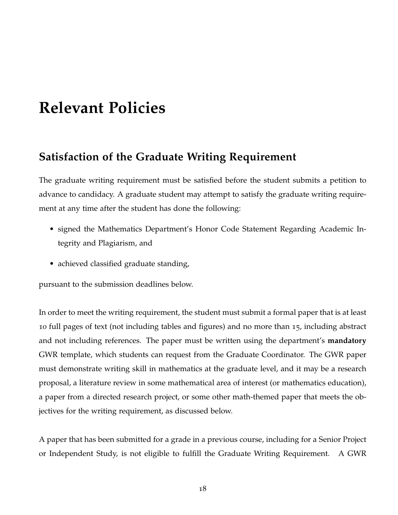# <span id="page-18-0"></span>**Relevant Policies**

# <span id="page-18-1"></span>**Satisfaction of the Graduate Writing Requirement**

The graduate writing requirement must be satisfied before the student submits a petition to advance to candidacy. A graduate student may attempt to satisfy the graduate writing requirement at any time after the student has done the following:

- signed the Mathematics Department's Honor Code Statement Regarding Academic Integrity and Plagiarism, and
- achieved classified graduate standing,

pursuant to the submission deadlines below.

In order to meet the writing requirement, the student must submit a formal paper that is at least 10 full pages of text (not including tables and figures) and no more than 15, including abstract and not including references. The paper must be written using the department's **mandatory** GWR template, which students can request from the Graduate Coordinator. The GWR paper must demonstrate writing skill in mathematics at the graduate level, and it may be a research proposal, a literature review in some mathematical area of interest (or mathematics education), a paper from a directed research project, or some other math-themed paper that meets the objectives for the writing requirement, as discussed below.

A paper that has been submitted for a grade in a previous course, including for a Senior Project or Independent Study, is not eligible to fulfill the Graduate Writing Requirement. A GWR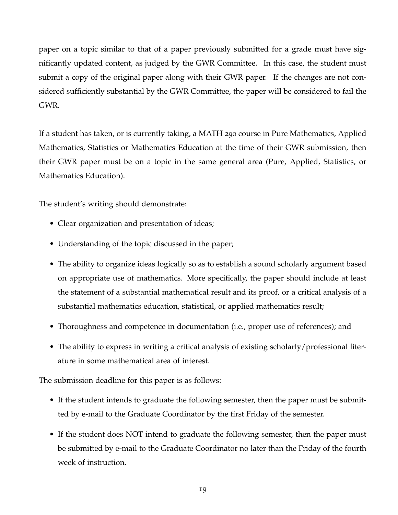paper on a topic similar to that of a paper previously submitted for a grade must have significantly updated content, as judged by the GWR Committee. In this case, the student must submit a copy of the original paper along with their GWR paper. If the changes are not considered sufficiently substantial by the GWR Committee, the paper will be considered to fail the GWR.

If a student has taken, or is currently taking, a MATH 290 course in Pure Mathematics, Applied Mathematics, Statistics or Mathematics Education at the time of their GWR submission, then their GWR paper must be on a topic in the same general area (Pure, Applied, Statistics, or Mathematics Education).

The student's writing should demonstrate:

- Clear organization and presentation of ideas;
- Understanding of the topic discussed in the paper;
- The ability to organize ideas logically so as to establish a sound scholarly argument based on appropriate use of mathematics. More specifically, the paper should include at least the statement of a substantial mathematical result and its proof, or a critical analysis of a substantial mathematics education, statistical, or applied mathematics result;
- Thoroughness and competence in documentation (i.e., proper use of references); and
- The ability to express in writing a critical analysis of existing scholarly/professional literature in some mathematical area of interest.

The submission deadline for this paper is as follows:

- If the student intends to graduate the following semester, then the paper must be submitted by e-mail to the Graduate Coordinator by the first Friday of the semester.
- If the student does NOT intend to graduate the following semester, then the paper must be submitted by e-mail to the Graduate Coordinator no later than the Friday of the fourth week of instruction.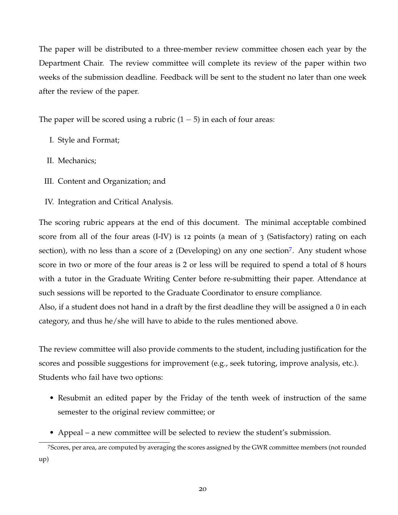The paper will be distributed to a three-member review committee chosen each year by the Department Chair. The review committee will complete its review of the paper within two weeks of the submission deadline. Feedback will be sent to the student no later than one week after the review of the paper.

The paper will be scored using a rubric  $(1 – 5)$  in each of four areas:

- I. Style and Format;
- II. Mechanics;
- III. Content and Organization; and
- IV. Integration and Critical Analysis.

The scoring rubric appears at the end of this document. The minimal acceptable combined score from all of the four areas (I-IV) is 12 points (a mean of 3 (Satisfactory) rating on each section), with no less than a score of 2 (Developing) on any one section<sup>[7](#page-20-0)</sup>. Any student whose score in two or more of the four areas is 2 or less will be required to spend a total of 8 hours with a tutor in the Graduate Writing Center before re-submitting their paper. Attendance at such sessions will be reported to the Graduate Coordinator to ensure compliance.

Also, if a student does not hand in a draft by the first deadline they will be assigned a 0 in each category, and thus he/she will have to abide to the rules mentioned above.

The review committee will also provide comments to the student, including justification for the scores and possible suggestions for improvement (e.g., seek tutoring, improve analysis, etc.). Students who fail have two options:

- Resubmit an edited paper by the Friday of the tenth week of instruction of the same semester to the original review committee; or
- <span id="page-20-0"></span>• Appeal – a new committee will be selected to review the student's submission.

<sup>7</sup>Scores, per area, are computed by averaging the scores assigned by the GWR committee members (not rounded up)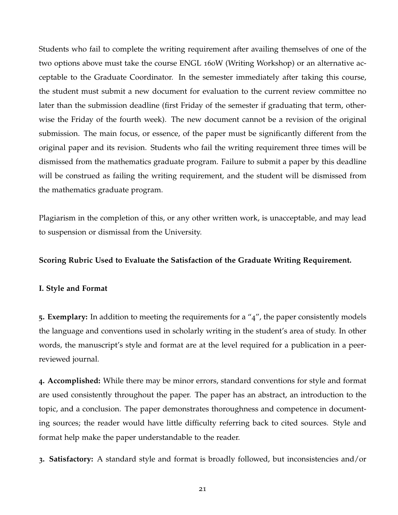Students who fail to complete the writing requirement after availing themselves of one of the two options above must take the course ENGL 160W (Writing Workshop) or an alternative acceptable to the Graduate Coordinator. In the semester immediately after taking this course, the student must submit a new document for evaluation to the current review committee no later than the submission deadline (first Friday of the semester if graduating that term, otherwise the Friday of the fourth week). The new document cannot be a revision of the original submission. The main focus, or essence, of the paper must be significantly different from the original paper and its revision. Students who fail the writing requirement three times will be dismissed from the mathematics graduate program. Failure to submit a paper by this deadline will be construed as failing the writing requirement, and the student will be dismissed from the mathematics graduate program.

Plagiarism in the completion of this, or any other written work, is unacceptable, and may lead to suspension or dismissal from the University.

### **Scoring Rubric Used to Evaluate the Satisfaction of the Graduate Writing Requirement.**

#### **I. Style and Format**

**5. Exemplary:** In addition to meeting the requirements for a "4", the paper consistently models the language and conventions used in scholarly writing in the student's area of study. In other words, the manuscript's style and format are at the level required for a publication in a peerreviewed journal.

**4. Accomplished:** While there may be minor errors, standard conventions for style and format are used consistently throughout the paper. The paper has an abstract, an introduction to the topic, and a conclusion. The paper demonstrates thoroughness and competence in documenting sources; the reader would have little difficulty referring back to cited sources. Style and format help make the paper understandable to the reader.

**3. Satisfactory:** A standard style and format is broadly followed, but inconsistencies and/or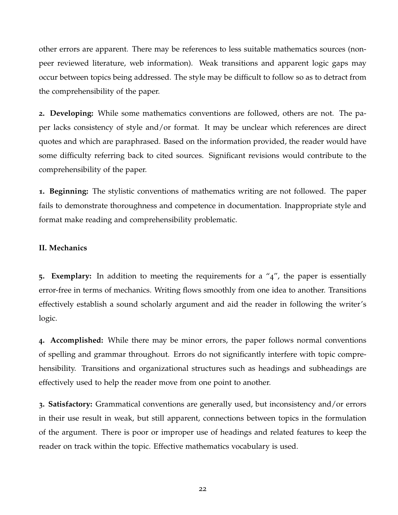other errors are apparent. There may be references to less suitable mathematics sources (nonpeer reviewed literature, web information). Weak transitions and apparent logic gaps may occur between topics being addressed. The style may be difficult to follow so as to detract from the comprehensibility of the paper.

**2. Developing:** While some mathematics conventions are followed, others are not. The paper lacks consistency of style and/or format. It may be unclear which references are direct quotes and which are paraphrased. Based on the information provided, the reader would have some difficulty referring back to cited sources. Significant revisions would contribute to the comprehensibility of the paper.

**1. Beginning:** The stylistic conventions of mathematics writing are not followed. The paper fails to demonstrate thoroughness and competence in documentation. Inappropriate style and format make reading and comprehensibility problematic.

### **II. Mechanics**

**5. Exemplary:** In addition to meeting the requirements for a "4", the paper is essentially error-free in terms of mechanics. Writing flows smoothly from one idea to another. Transitions effectively establish a sound scholarly argument and aid the reader in following the writer's logic.

**4. Accomplished:** While there may be minor errors, the paper follows normal conventions of spelling and grammar throughout. Errors do not significantly interfere with topic comprehensibility. Transitions and organizational structures such as headings and subheadings are effectively used to help the reader move from one point to another.

**3. Satisfactory:** Grammatical conventions are generally used, but inconsistency and/or errors in their use result in weak, but still apparent, connections between topics in the formulation of the argument. There is poor or improper use of headings and related features to keep the reader on track within the topic. Effective mathematics vocabulary is used.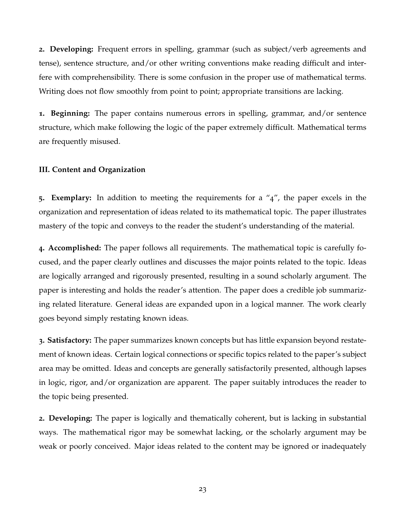**2. Developing:** Frequent errors in spelling, grammar (such as subject/verb agreements and tense), sentence structure, and/or other writing conventions make reading difficult and interfere with comprehensibility. There is some confusion in the proper use of mathematical terms. Writing does not flow smoothly from point to point; appropriate transitions are lacking.

**1. Beginning:** The paper contains numerous errors in spelling, grammar, and/or sentence structure, which make following the logic of the paper extremely difficult. Mathematical terms are frequently misused.

#### **III. Content and Organization**

**5. Exemplary:** In addition to meeting the requirements for a "4", the paper excels in the organization and representation of ideas related to its mathematical topic. The paper illustrates mastery of the topic and conveys to the reader the student's understanding of the material.

**4. Accomplished:** The paper follows all requirements. The mathematical topic is carefully focused, and the paper clearly outlines and discusses the major points related to the topic. Ideas are logically arranged and rigorously presented, resulting in a sound scholarly argument. The paper is interesting and holds the reader's attention. The paper does a credible job summarizing related literature. General ideas are expanded upon in a logical manner. The work clearly goes beyond simply restating known ideas.

**3. Satisfactory:** The paper summarizes known concepts but has little expansion beyond restatement of known ideas. Certain logical connections or specific topics related to the paper's subject area may be omitted. Ideas and concepts are generally satisfactorily presented, although lapses in logic, rigor, and/or organization are apparent. The paper suitably introduces the reader to the topic being presented.

**2. Developing:** The paper is logically and thematically coherent, but is lacking in substantial ways. The mathematical rigor may be somewhat lacking, or the scholarly argument may be weak or poorly conceived. Major ideas related to the content may be ignored or inadequately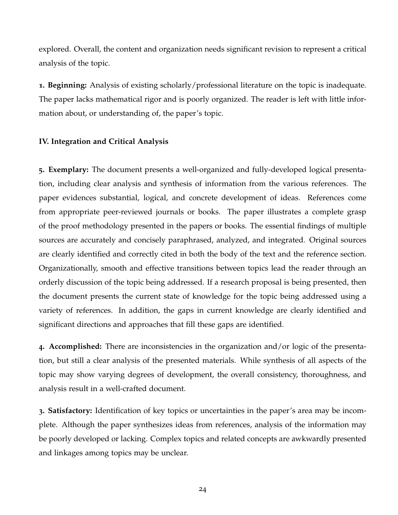explored. Overall, the content and organization needs significant revision to represent a critical analysis of the topic.

**1. Beginning:** Analysis of existing scholarly/professional literature on the topic is inadequate. The paper lacks mathematical rigor and is poorly organized. The reader is left with little information about, or understanding of, the paper's topic.

### **IV. Integration and Critical Analysis**

**5. Exemplary:** The document presents a well-organized and fully-developed logical presentation, including clear analysis and synthesis of information from the various references. The paper evidences substantial, logical, and concrete development of ideas. References come from appropriate peer-reviewed journals or books. The paper illustrates a complete grasp of the proof methodology presented in the papers or books. The essential findings of multiple sources are accurately and concisely paraphrased, analyzed, and integrated. Original sources are clearly identified and correctly cited in both the body of the text and the reference section. Organizationally, smooth and effective transitions between topics lead the reader through an orderly discussion of the topic being addressed. If a research proposal is being presented, then the document presents the current state of knowledge for the topic being addressed using a variety of references. In addition, the gaps in current knowledge are clearly identified and significant directions and approaches that fill these gaps are identified.

**4. Accomplished:** There are inconsistencies in the organization and/or logic of the presentation, but still a clear analysis of the presented materials. While synthesis of all aspects of the topic may show varying degrees of development, the overall consistency, thoroughness, and analysis result in a well-crafted document.

**3. Satisfactory:** Identification of key topics or uncertainties in the paper's area may be incomplete. Although the paper synthesizes ideas from references, analysis of the information may be poorly developed or lacking. Complex topics and related concepts are awkwardly presented and linkages among topics may be unclear.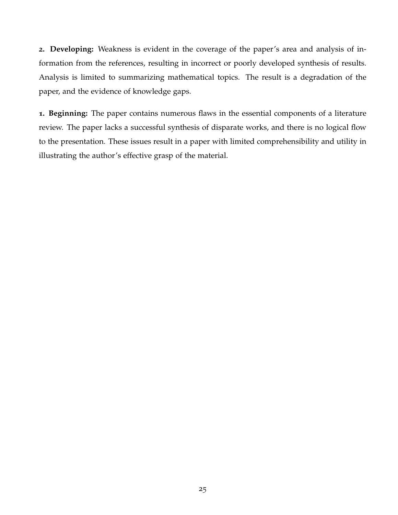**2. Developing:** Weakness is evident in the coverage of the paper's area and analysis of information from the references, resulting in incorrect or poorly developed synthesis of results. Analysis is limited to summarizing mathematical topics. The result is a degradation of the paper, and the evidence of knowledge gaps.

**1. Beginning:** The paper contains numerous flaws in the essential components of a literature review. The paper lacks a successful synthesis of disparate works, and there is no logical flow to the presentation. These issues result in a paper with limited comprehensibility and utility in illustrating the author's effective grasp of the material.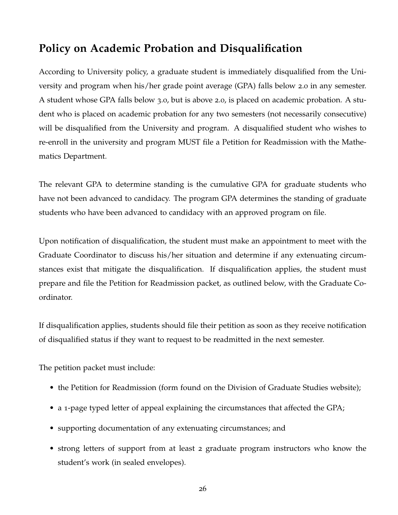# <span id="page-26-0"></span>**Policy on Academic Probation and Disqualification**

According to University policy, a graduate student is immediately disqualified from the University and program when his/her grade point average (GPA) falls below 2.0 in any semester. A student whose GPA falls below 3.0, but is above 2.0, is placed on academic probation. A student who is placed on academic probation for any two semesters (not necessarily consecutive) will be disqualified from the University and program. A disqualified student who wishes to re-enroll in the university and program MUST file a Petition for Readmission with the Mathematics Department.

The relevant GPA to determine standing is the cumulative GPA for graduate students who have not been advanced to candidacy. The program GPA determines the standing of graduate students who have been advanced to candidacy with an approved program on file.

Upon notification of disqualification, the student must make an appointment to meet with the Graduate Coordinator to discuss his/her situation and determine if any extenuating circumstances exist that mitigate the disqualification. If disqualification applies, the student must prepare and file the Petition for Readmission packet, as outlined below, with the Graduate Coordinator.

If disqualification applies, students should file their petition as soon as they receive notification of disqualified status if they want to request to be readmitted in the next semester.

The petition packet must include:

- the Petition for Readmission (form found on the Division of Graduate Studies website);
- a 1-page typed letter of appeal explaining the circumstances that affected the GPA;
- supporting documentation of any extenuating circumstances; and
- strong letters of support from at least 2 graduate program instructors who know the student's work (in sealed envelopes).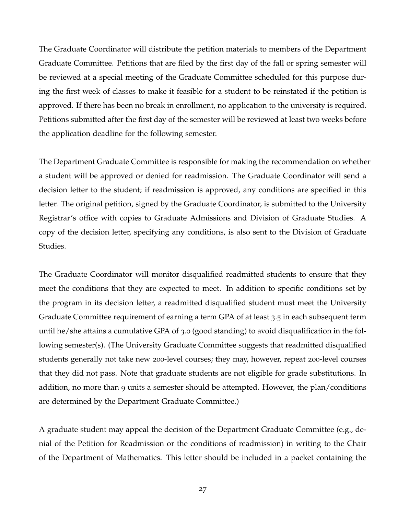The Graduate Coordinator will distribute the petition materials to members of the Department Graduate Committee. Petitions that are filed by the first day of the fall or spring semester will be reviewed at a special meeting of the Graduate Committee scheduled for this purpose during the first week of classes to make it feasible for a student to be reinstated if the petition is approved. If there has been no break in enrollment, no application to the university is required. Petitions submitted after the first day of the semester will be reviewed at least two weeks before the application deadline for the following semester.

The Department Graduate Committee is responsible for making the recommendation on whether a student will be approved or denied for readmission. The Graduate Coordinator will send a decision letter to the student; if readmission is approved, any conditions are specified in this letter. The original petition, signed by the Graduate Coordinator, is submitted to the University Registrar's office with copies to Graduate Admissions and Division of Graduate Studies. A copy of the decision letter, specifying any conditions, is also sent to the Division of Graduate Studies.

The Graduate Coordinator will monitor disqualified readmitted students to ensure that they meet the conditions that they are expected to meet. In addition to specific conditions set by the program in its decision letter, a readmitted disqualified student must meet the University Graduate Committee requirement of earning a term GPA of at least 3.5 in each subsequent term until he/she attains a cumulative GPA of 3.0 (good standing) to avoid disqualification in the following semester(s). (The University Graduate Committee suggests that readmitted disqualified students generally not take new 200-level courses; they may, however, repeat 200-level courses that they did not pass. Note that graduate students are not eligible for grade substitutions. In addition, no more than 9 units a semester should be attempted. However, the plan/conditions are determined by the Department Graduate Committee.)

A graduate student may appeal the decision of the Department Graduate Committee (e.g., denial of the Petition for Readmission or the conditions of readmission) in writing to the Chair of the Department of Mathematics. This letter should be included in a packet containing the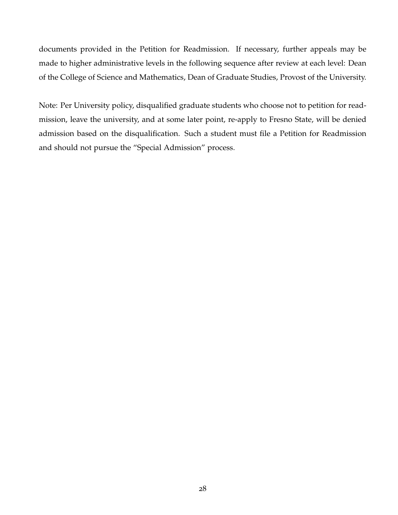documents provided in the Petition for Readmission. If necessary, further appeals may be made to higher administrative levels in the following sequence after review at each level: Dean of the College of Science and Mathematics, Dean of Graduate Studies, Provost of the University.

Note: Per University policy, disqualified graduate students who choose not to petition for readmission, leave the university, and at some later point, re-apply to Fresno State, will be denied admission based on the disqualification. Such a student must file a Petition for Readmission and should not pursue the "Special Admission" process.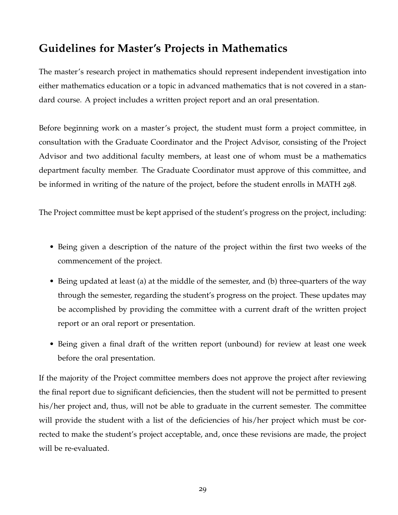# <span id="page-29-0"></span>**Guidelines for Master's Projects in Mathematics**

The master's research project in mathematics should represent independent investigation into either mathematics education or a topic in advanced mathematics that is not covered in a standard course. A project includes a written project report and an oral presentation.

Before beginning work on a master's project, the student must form a project committee, in consultation with the Graduate Coordinator and the Project Advisor, consisting of the Project Advisor and two additional faculty members, at least one of whom must be a mathematics department faculty member. The Graduate Coordinator must approve of this committee, and be informed in writing of the nature of the project, before the student enrolls in MATH 298.

The Project committee must be kept apprised of the student's progress on the project, including:

- Being given a description of the nature of the project within the first two weeks of the commencement of the project.
- Being updated at least (a) at the middle of the semester, and (b) three-quarters of the way through the semester, regarding the student's progress on the project. These updates may be accomplished by providing the committee with a current draft of the written project report or an oral report or presentation.
- Being given a final draft of the written report (unbound) for review at least one week before the oral presentation.

If the majority of the Project committee members does not approve the project after reviewing the final report due to significant deficiencies, then the student will not be permitted to present his/her project and, thus, will not be able to graduate in the current semester. The committee will provide the student with a list of the deficiencies of his/her project which must be corrected to make the student's project acceptable, and, once these revisions are made, the project will be re-evaluated.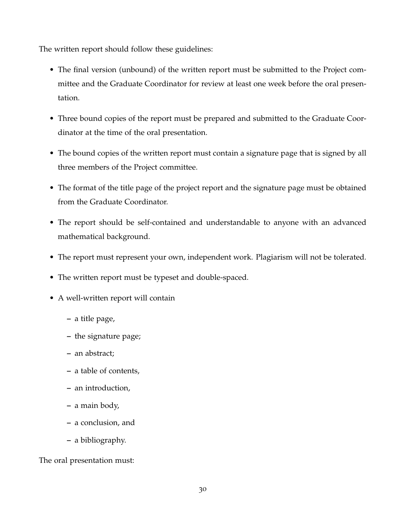The written report should follow these guidelines:

- The final version (unbound) of the written report must be submitted to the Project committee and the Graduate Coordinator for review at least one week before the oral presentation.
- Three bound copies of the report must be prepared and submitted to the Graduate Coordinator at the time of the oral presentation.
- The bound copies of the written report must contain a signature page that is signed by all three members of the Project committee.
- The format of the title page of the project report and the signature page must be obtained from the Graduate Coordinator.
- The report should be self-contained and understandable to anyone with an advanced mathematical background.
- The report must represent your own, independent work. Plagiarism will not be tolerated.
- The written report must be typeset and double-spaced.
- A well-written report will contain
	- **–** a title page,
	- **–** the signature page;
	- **–** an abstract;
	- **–** a table of contents,
	- **–** an introduction,
	- **–** a main body,
	- **–** a conclusion, and
	- **–** a bibliography.

The oral presentation must: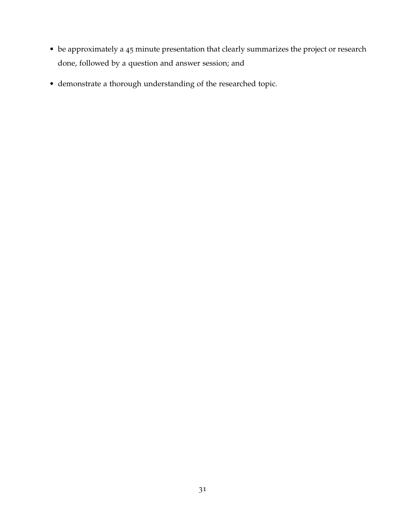- be approximately a 45 minute presentation that clearly summarizes the project or research done, followed by a question and answer session; and
- demonstrate a thorough understanding of the researched topic.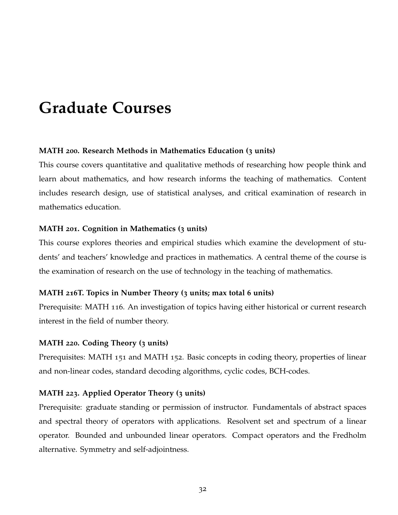# <span id="page-32-0"></span>**Graduate Courses**

#### **MATH 200. Research Methods in Mathematics Education (3 units)**

This course covers quantitative and qualitative methods of researching how people think and learn about mathematics, and how research informs the teaching of mathematics. Content includes research design, use of statistical analyses, and critical examination of research in mathematics education.

#### **MATH 201. Cognition in Mathematics (3 units)**

This course explores theories and empirical studies which examine the development of students' and teachers' knowledge and practices in mathematics. A central theme of the course is the examination of research on the use of technology in the teaching of mathematics.

#### **MATH 216T. Topics in Number Theory (3 units; max total 6 units)**

Prerequisite: MATH 116. An investigation of topics having either historical or current research interest in the field of number theory.

#### **MATH 220. Coding Theory (3 units)**

Prerequisites: MATH 151 and MATH 152. Basic concepts in coding theory, properties of linear and non-linear codes, standard decoding algorithms, cyclic codes, BCH-codes.

#### **MATH 223. Applied Operator Theory (3 units)**

Prerequisite: graduate standing or permission of instructor. Fundamentals of abstract spaces and spectral theory of operators with applications. Resolvent set and spectrum of a linear operator. Bounded and unbounded linear operators. Compact operators and the Fredholm alternative. Symmetry and self-adjointness.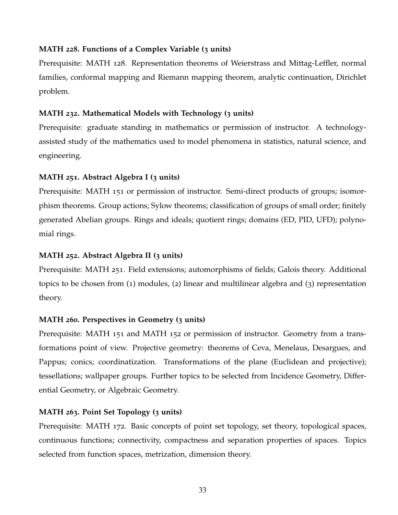### **MATH 228. Functions of a Complex Variable (3 units)**

Prerequisite: MATH 128. Representation theorems of Weierstrass and Mittag-Leffler, normal families, conformal mapping and Riemann mapping theorem, analytic continuation, Dirichlet problem.

## **MATH 232. Mathematical Models with Technology (3 units)**

Prerequisite: graduate standing in mathematics or permission of instructor. A technologyassisted study of the mathematics used to model phenomena in statistics, natural science, and engineering.

## **MATH 251. Abstract Algebra I (3 units)**

Prerequisite: MATH 151 or permission of instructor. Semi-direct products of groups; isomorphism theorems. Group actions; Sylow theorems; classification of groups of small order; finitely generated Abelian groups. Rings and ideals; quotient rings; domains (ED, PID, UFD); polynomial rings.

## **MATH 252. Abstract Algebra II (3 units)**

Prerequisite: MATH 251. Field extensions; automorphisms of fields; Galois theory. Additional topics to be chosen from (1) modules, (2) linear and multilinear algebra and (3) representation theory.

## **MATH 260. Perspectives in Geometry (3 units)**

Prerequisite: MATH 151 and MATH 152 or permission of instructor. Geometry from a transformations point of view. Projective geometry: theorems of Ceva, Menelaus, Desargues, and Pappus; conics; coordinatization. Transformations of the plane (Euclidean and projective); tessellations; wallpaper groups. Further topics to be selected from Incidence Geometry, Differential Geometry, or Algebraic Geometry.

## **MATH 263. Point Set Topology (3 units)**

Prerequisite: MATH 172. Basic concepts of point set topology, set theory, topological spaces, continuous functions; connectivity, compactness and separation properties of spaces. Topics selected from function spaces, metrization, dimension theory.